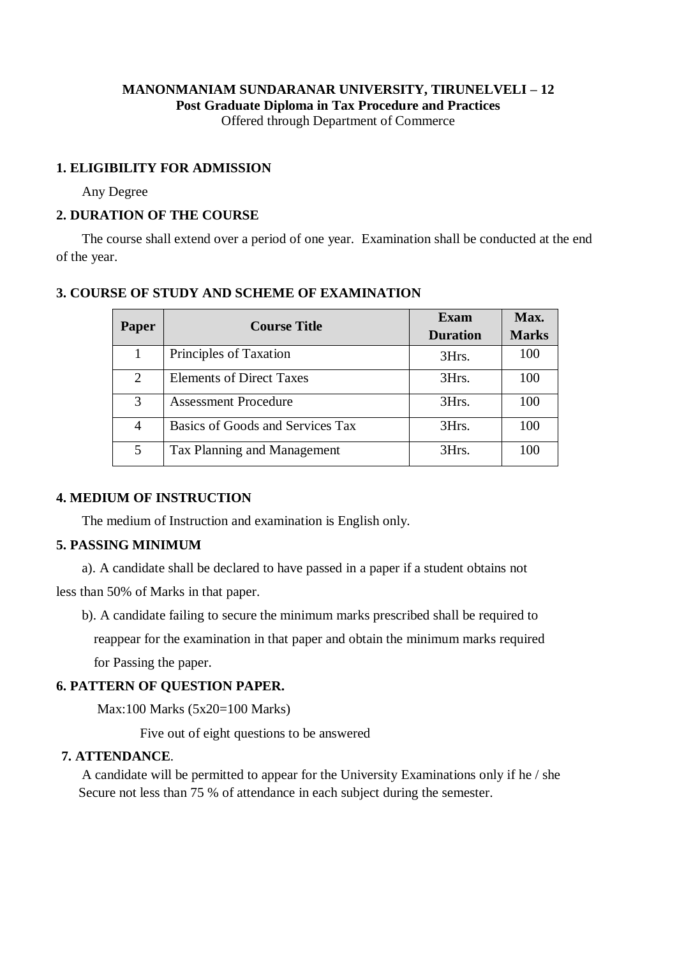#### **MANONMANIAM SUNDARANAR UNIVERSITY, TIRUNELVELI – 12 Post Graduate Diploma in Tax Procedure and Practices** Offered through Department of Commerce

## **1. ELIGIBILITY FOR ADMISSION**

Any Degree

## **2. DURATION OF THE COURSE**

The course shall extend over a period of one year. Examination shall be conducted at the end of the year.

# **3. COURSE OF STUDY AND SCHEME OF EXAMINATION**

| <b>Paper</b> | <b>Course Title</b>              | Exam<br><b>Duration</b> | Max.<br><b>Marks</b> |
|--------------|----------------------------------|-------------------------|----------------------|
|              | Principles of Taxation           | 3Hrs.                   | 100                  |
| 2            | <b>Elements of Direct Taxes</b>  | 3Hrs.                   | 100                  |
| 3            | <b>Assessment Procedure</b>      | 3Hrs.                   | 100                  |
| 4            | Basics of Goods and Services Tax | 3Hrs.                   | 100                  |
| 5            | Tax Planning and Management      | 3Hrs.                   | 100                  |

#### **4. MEDIUM OF INSTRUCTION**

The medium of Instruction and examination is English only.

## **5. PASSING MINIMUM**

a). A candidate shall be declared to have passed in a paper if a student obtains not

less than 50% of Marks in that paper.

b). A candidate failing to secure the minimum marks prescribed shall be required to

reappear for the examination in that paper and obtain the minimum marks required

for Passing the paper.

## **6. PATTERN OF QUESTION PAPER.**

Max:100 Marks (5x20=100 Marks)

Five out of eight questions to be answered

#### **7. ATTENDANCE**.

A candidate will be permitted to appear for the University Examinations only if he / she Secure not less than 75 % of attendance in each subject during the semester.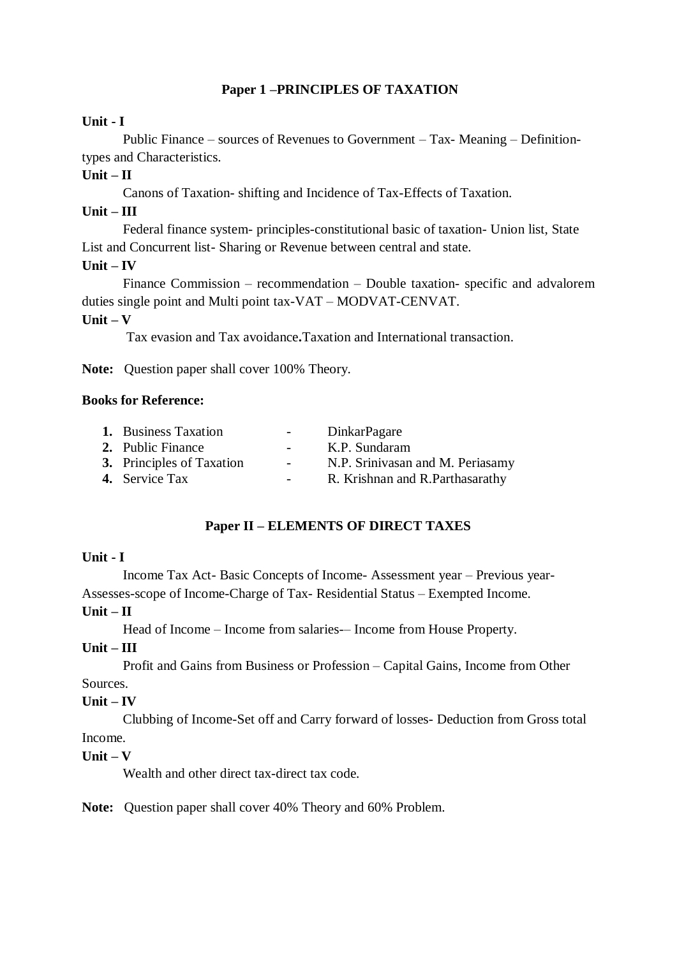# **Paper 1 –PRINCIPLES OF TAXATION**

## **Unit - I**

Public Finance – sources of Revenues to Government – Tax- Meaning – Definitiontypes and Characteristics.

## $Unit - II$

Canons of Taxation- shifting and Incidence of Tax-Effects of Taxation.

## **Unit – III**

Federal finance system- principles-constitutional basic of taxation- Union list, State List and Concurrent list- Sharing or Revenue between central and state.

#### **Unit – IV**

Finance Commission – recommendation – Double taxation- specific and advalorem duties single point and Multi point tax-VAT – MODVAT-CENVAT.

# **Unit – V**

Tax evasion and Tax avoidance**.**Taxation and International transaction.

**Note:** Question paper shall cover 100% Theory.

## **Books for Reference:**

| <b>1.</b> Business Taxation      | $\sim$ 100 $\mu$ | <b>DinkarPagare</b>              |
|----------------------------------|------------------|----------------------------------|
| 2. Public Finance                | $ -$             | K.P. Sundaram                    |
| <b>3.</b> Principles of Taxation | $\sim$ 10 $\pm$  | N.P. Srinivasan and M. Periasamy |
| <b>4.</b> Service Tax            |                  | R. Krishnan and R. Parthasarathy |

## **Paper II – ELEMENTS OF DIRECT TAXES**

#### **Unit - I**

Income Tax Act- Basic Concepts of Income- Assessment year – Previous year-Assesses-scope of Income-Charge of Tax- Residential Status – Exempted Income.

#### **Unit – II**

Head of Income – Income from salaries-– Income from House Property.

#### **Unit – III**

Profit and Gains from Business or Profession – Capital Gains, Income from Other Sources.

## **Unit – IV**

Clubbing of Income-Set off and Carry forward of losses- Deduction from Gross total Income.

## **Unit – V**

Wealth and other direct tax-direct tax code.

**Note:** Question paper shall cover 40% Theory and 60% Problem.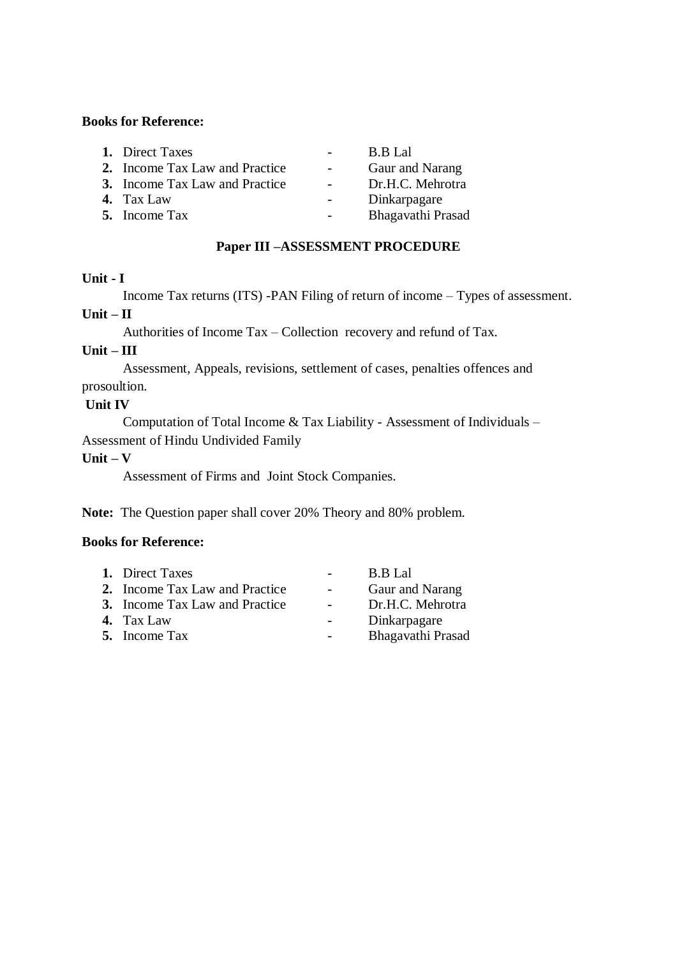## **Books for Reference:**

| 1. Direct Taxes                       |                          | <b>B.B</b> Lal    |
|---------------------------------------|--------------------------|-------------------|
| 2. Income Tax Law and Practice        | $\overline{\phantom{0}}$ | Gaur and Narang   |
| <b>3.</b> Income Tax Law and Practice |                          | Dr.H.C. Mehrotra  |
| 4. Tax Law                            |                          | Dinkarpagare      |
| <b>5.</b> Income Tax                  |                          | Bhagavathi Prasad |

## **Paper III –ASSESSMENT PROCEDURE**

#### **Unit - I**

Income Tax returns (ITS) -PAN Filing of return of income – Types of assessment.

# **Unit – II**  Authorities of Income Tax – Collection recovery and refund of Tax.

**Unit – III** 

Assessment, Appeals, revisions, settlement of cases, penalties offences and prosoultion.

## **Unit IV**

Computation of Total Income & Tax Liability - Assessment of Individuals – Assessment of Hindu Undivided Family

## **Unit – V**

Assessment of Firms and Joint Stock Companies.

**Note:** The Question paper shall cover 20% Theory and 80% problem.

# **Books for Reference:**

| 1. Direct Taxes                |                | B.B Lal           |
|--------------------------------|----------------|-------------------|
| 2. Income Tax Law and Practice | $\sim$ 10 $\,$ | Gaur and Narang   |
| 3. Income Tax Law and Practice | $\sim$         | Dr.H.C. Mehrotra  |
| 4. Tax Law                     |                | Dinkarpagare      |
| <b>5.</b> Income Tax           |                | Bhagavathi Prasad |
|                                |                |                   |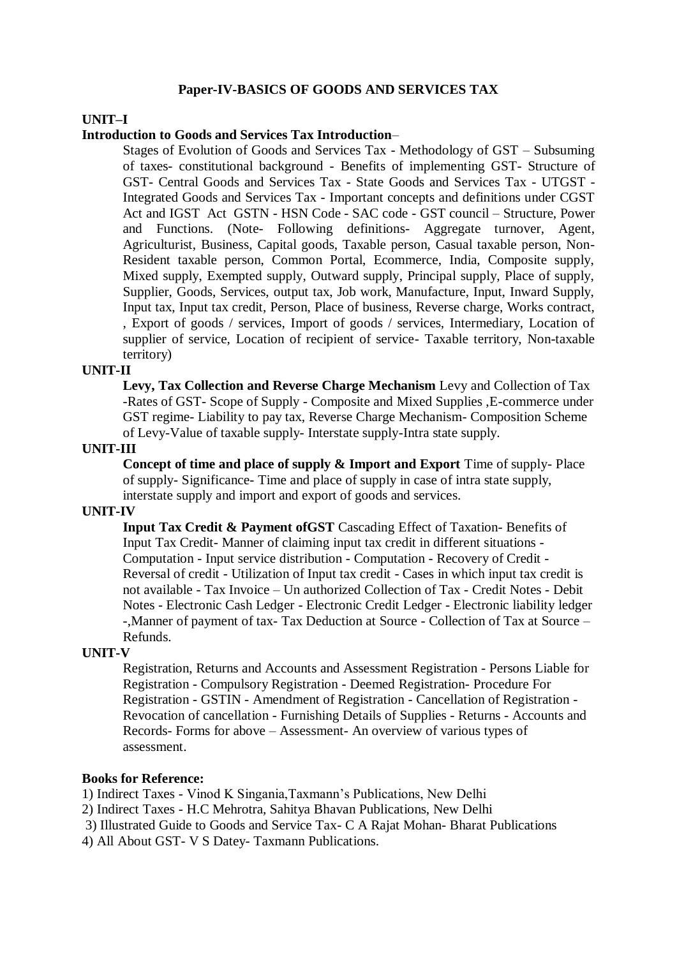## **Paper-IV-BASICS OF GOODS AND SERVICES TAX**

#### **UNIT–I**

#### **Introduction to Goods and Services Tax Introduction**–

Stages of Evolution of Goods and Services Tax - Methodology of GST – Subsuming of taxes- constitutional background - Benefits of implementing GST- Structure of GST- Central Goods and Services Tax - State Goods and Services Tax - UTGST - Integrated Goods and Services Tax - Important concepts and definitions under CGST Act and IGST Act GSTN - HSN Code - SAC code - GST council – Structure, Power and Functions. (Note- Following definitions- Aggregate turnover, Agent, Agriculturist, Business, Capital goods, Taxable person, Casual taxable person, Non-Resident taxable person, Common Portal, Ecommerce, India, Composite supply, Mixed supply, Exempted supply, Outward supply, Principal supply, Place of supply, Supplier, Goods, Services, output tax, Job work, Manufacture, Input, Inward Supply, Input tax, Input tax credit, Person, Place of business, Reverse charge, Works contract, , Export of goods / services, Import of goods / services, Intermediary, Location of supplier of service, Location of recipient of service- Taxable territory, Non-taxable territory)

#### **UNIT-II**

**Levy, Tax Collection and Reverse Charge Mechanism** Levy and Collection of Tax -Rates of GST- Scope of Supply - Composite and Mixed Supplies ,E-commerce under GST regime- Liability to pay tax, Reverse Charge Mechanism- Composition Scheme of Levy-Value of taxable supply- Interstate supply-Intra state supply.

#### **UNIT-III**

**Concept of time and place of supply & Import and Export** Time of supply- Place of supply- Significance- Time and place of supply in case of intra state supply, interstate supply and import and export of goods and services.

#### **UNIT-IV**

**Input Tax Credit & Payment ofGST** Cascading Effect of Taxation- Benefits of Input Tax Credit- Manner of claiming input tax credit in different situations - Computation - Input service distribution - Computation - Recovery of Credit - Reversal of credit - Utilization of Input tax credit - Cases in which input tax credit is not available - Tax Invoice – Un authorized Collection of Tax - Credit Notes - Debit Notes - Electronic Cash Ledger - Electronic Credit Ledger - Electronic liability ledger -,Manner of payment of tax- Tax Deduction at Source - Collection of Tax at Source – Refunds.

#### **UNIT-V**

Registration, Returns and Accounts and Assessment Registration - Persons Liable for Registration - Compulsory Registration - Deemed Registration- Procedure For Registration - GSTIN - Amendment of Registration - Cancellation of Registration - Revocation of cancellation - Furnishing Details of Supplies - Returns - Accounts and Records- Forms for above – Assessment- An overview of various types of assessment.

#### **Books for Reference:**

1) Indirect Taxes - Vinod K Singania,Taxmann's Publications, New Delhi

2) Indirect Taxes - H.C Mehrotra, Sahitya Bhavan Publications, New Delhi

3) Illustrated Guide to Goods and Service Tax- C A Rajat Mohan- Bharat Publications

4) All About GST- V S Datey- Taxmann Publications.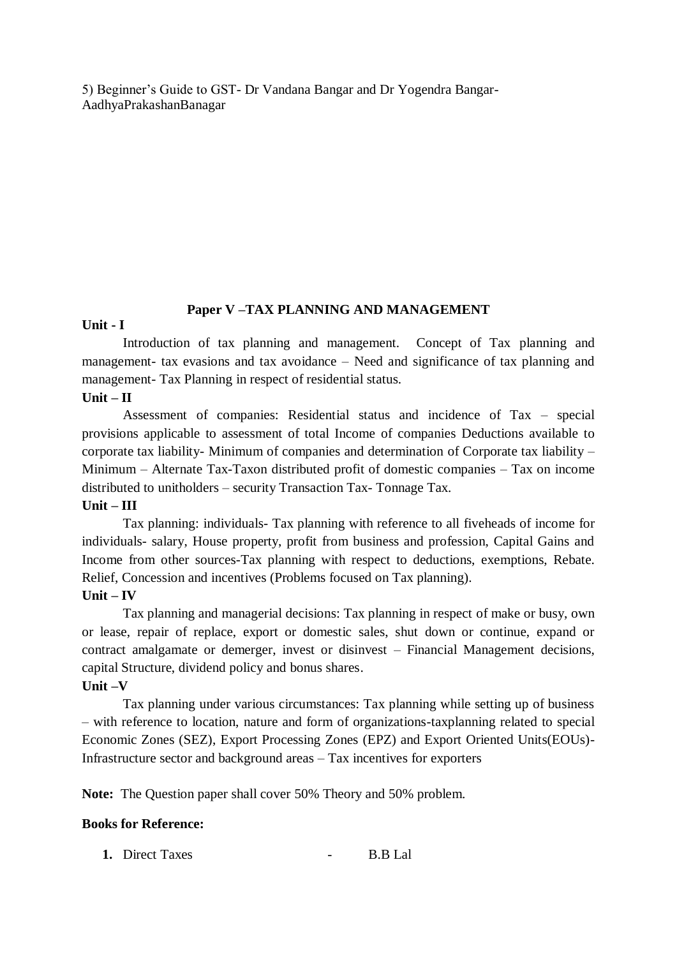5) Beginner's Guide to GST- Dr Vandana Bangar and Dr Yogendra Bangar-AadhyaPrakashanBanagar

## **Paper V –TAX PLANNING AND MANAGEMENT**

#### **Unit - I**

Introduction of tax planning and management. Concept of Tax planning and management- tax evasions and tax avoidance – Need and significance of tax planning and management- Tax Planning in respect of residential status.

## **Unit – II**

Assessment of companies: Residential status and incidence of Tax – special provisions applicable to assessment of total Income of companies Deductions available to corporate tax liability- Minimum of companies and determination of Corporate tax liability – Minimum – Alternate Tax-Taxon distributed profit of domestic companies – Tax on income distributed to unitholders – security Transaction Tax- Tonnage Tax.

## **Unit – III**

Tax planning: individuals- Tax planning with reference to all fiveheads of income for individuals- salary, House property, profit from business and profession, Capital Gains and Income from other sources-Tax planning with respect to deductions, exemptions, Rebate. Relief, Concession and incentives (Problems focused on Tax planning).

## **Unit – IV**

Tax planning and managerial decisions: Tax planning in respect of make or busy, own or lease, repair of replace, export or domestic sales, shut down or continue, expand or contract amalgamate or demerger, invest or disinvest – Financial Management decisions, capital Structure, dividend policy and bonus shares.

#### **Unit –V**

Tax planning under various circumstances: Tax planning while setting up of business – with reference to location, nature and form of organizations-taxplanning related to special Economic Zones (SEZ), Export Processing Zones (EPZ) and Export Oriented Units(EOUs)- Infrastructure sector and background areas – Tax incentives for exporters

**Note:** The Question paper shall cover 50% Theory and 50% problem.

#### **Books for Reference:**

**1.** Direct Taxes **1.** B.B Lal